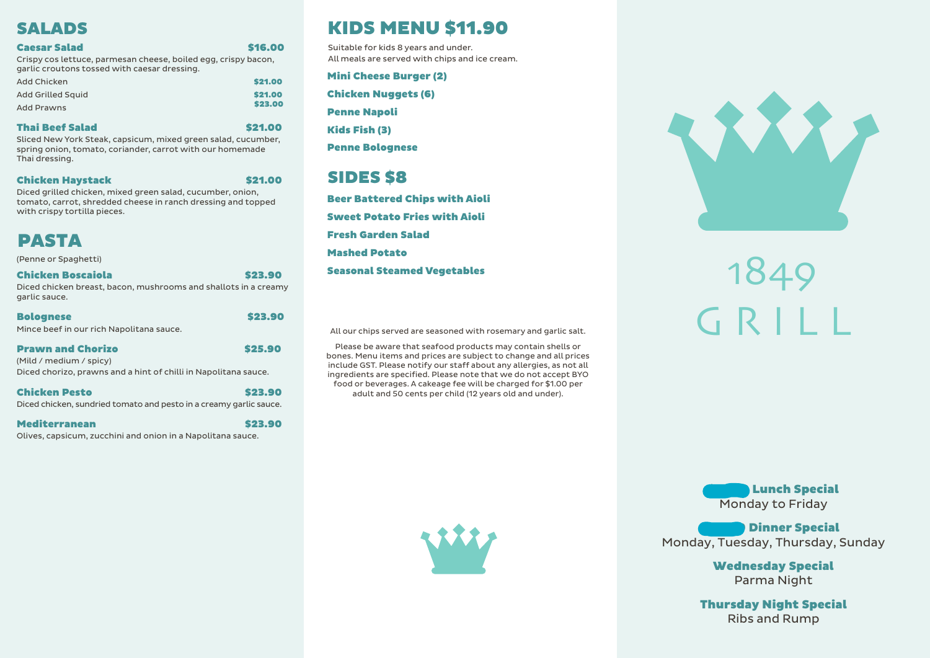# G R I L L 1849

**Lunch Special** Monday to Friday

**Dinner Special** Monday, Tuesday, Thursday, Sunday

> Wednesday Special Parma Night

#### **Caesar Salad \$16.000 \$16.000 \$16.000 \$16.000 \$16.000 \$16.000 \$16.000 \$16.000 \$16.000 \$16.000 \$16.000 \$16.000 \$16.000 \$16.000 \$16.000 \$16.000 \$16.000 \$16.000 \$16.000 \$16.000 \$16.000 \$16.000 \$16.000 \$16.000 \$16.000 \$16.000** Crispy cos lettuce, parmesan cheese, boiled egg, crispy bacon, garlic croutons tossed with caesar dressing.

Thursday Night Special Ribs and Rump

# PASTA

# SALADS

| \$21.00 |
|---------|
| \$21.00 |
| \$23.00 |
|         |

#### Thai Beef Salad \$21.00

Sliced New York Steak, capsicum, mixed green salad, cucumber, spring onion, tomato, coriander, carrot with our homemade Thai dressing.

#### **Chicken Haystack \$21.00**

Diced grilled chicken, mixed green salad, cucumber, onion, tomato, carrot, shredded cheese in ranch dressing and topped with crispy tortilla pieces.

(Penne or Spaghetti)

#### Chicken Boscaiola \$23.90

Diced chicken breast, bacon, mushrooms and shallots in a creamy garlic sauce.

| <b>Bolognese</b>                         | \$23.90 |
|------------------------------------------|---------|
| Mince beef in our rich Napolitana sauce. |         |

#### Prawn and Chorizo **\$25.90**

(Mild / medium / spicy) Diced chorizo, prawns and a hint of chilli in Napolitana sauce.

#### Chicken Pesto **\$23.90**

Diced chicken, sundried tomato and pesto in a creamy garlic sauce.

#### Mediterranean \$23.90

Olives, capsicum, zucchini and onion in a Napolitana sauce.

All our chips served are seasoned with rosemary and garlic salt.

Please be aware that seafood products may contain shells or bones. Menu items and prices are subject to change and all prices include GST. Please notify our staff about any allergies, as not all ingredients are specified. Please note that we do not accept BYO food or beverages. A cakeage fee will be charged for \$1.00 per adult and 50 cents per child (12 years old and under).







# KIDS MENU \$11.90

## SIDES \$8

Suitable for kids 8 years and under. All meals are served with chips and ice cream.

Mini Cheese Burger (2)

Chicken Nuggets (6)

Penne Napoli

Kids Fish (3)

Penne Bolognese

Beer Battered Chips with Aioli Sweet Potato Fries with Aioli Fresh Garden Salad Mashed Potato Seasonal Steamed Vegetables